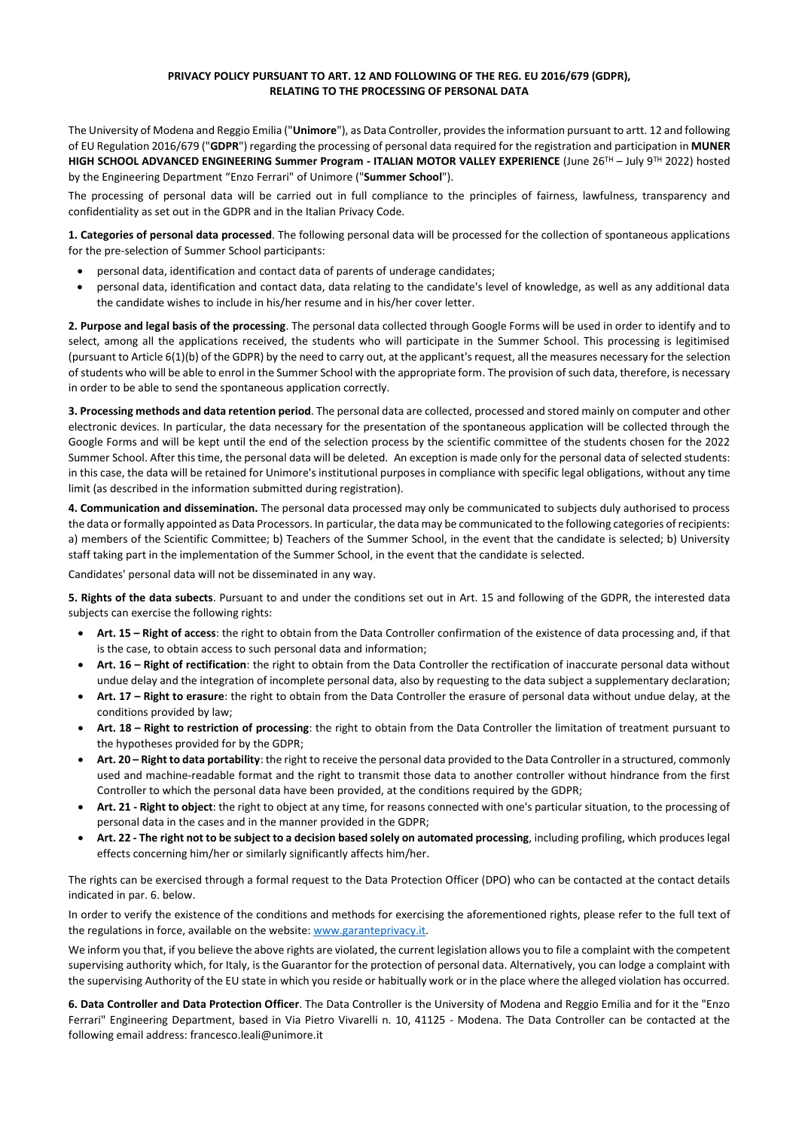## **PRIVACY POLICY PURSUANT TO ART. 12 AND FOLLOWING OF THE REG. EU 2016/679 (GDPR), RELATING TO THE PROCESSING OF PERSONAL DATA**

The University of Modena and Reggio Emilia ("**Unimore**"), as Data Controller, provides the information pursuant to artt. 12 and following of EU Regulation 2016/679 ("**GDPR**") regarding the processing of personal data required for the registration and participation in **MUNER HIGH SCHOOL ADVANCED ENGINEERING Summer Program - ITALIAN MOTOR VALLEY EXPERIENCE** (June 26TH – July 9TH 2022) hosted by the Engineering Department "Enzo Ferrari" of Unimore ("**Summer School**").

The processing of personal data will be carried out in full compliance to the principles of fairness, lawfulness, transparency and confidentiality as set out in the GDPR and in the Italian Privacy Code.

**1. Categories of personal data processed**. The following personal data will be processed for the collection of spontaneous applications for the pre-selection of Summer School participants:

- personal data, identification and contact data of parents of underage candidates;
- personal data, identification and contact data, data relating to the candidate's level of knowledge, as well as any additional data the candidate wishes to include in his/her resume and in his/her cover letter.

**2. Purpose and legal basis of the processing**. The personal data collected through Google Forms will be used in order to identify and to select, among all the applications received, the students who will participate in the Summer School. This processing is legitimised (pursuant to Article 6(1)(b) of the GDPR) by the need to carry out, at the applicant's request, all the measures necessary for the selection of students who will be able to enrol in the Summer School with the appropriate form. The provision of such data, therefore, is necessary in order to be able to send the spontaneous application correctly.

**3. Processing methods and data retention period**. The personal data are collected, processed and stored mainly on computer and other electronic devices. In particular, the data necessary for the presentation of the spontaneous application will be collected through the Google Forms and will be kept until the end of the selection process by the scientific committee of the students chosen for the 2022 Summer School. After this time, the personal data will be deleted. An exception is made only for the personal data of selected students: in this case, the data will be retained for Unimore's institutional purposes in compliance with specific legal obligations, without any time limit (as described in the information submitted during registration).

**4. Communication and dissemination.** The personal data processed may only be communicated to subjects duly authorised to process the data or formally appointed as Data Processors. In particular, the data may be communicated to the following categories of recipients: a) members of the Scientific Committee; b) Teachers of the Summer School, in the event that the candidate is selected; b) University staff taking part in the implementation of the Summer School, in the event that the candidate is selected.

Candidates' personal data will not be disseminated in any way.

**5. Rights of the data subects**. Pursuant to and under the conditions set out in Art. 15 and following of the GDPR, the interested data subjects can exercise the following rights:

- **Art. 15 – Right of access**: the right to obtain from the Data Controller confirmation of the existence of data processing and, if that is the case, to obtain access to such personal data and information;
- **Art. 16 – Right of rectification**: the right to obtain from the Data Controller the rectification of inaccurate personal data without undue delay and the integration of incomplete personal data, also by requesting to the data subject a supplementary declaration;
- **Art. 17 – Right to erasure**: the right to obtain from the Data Controller the erasure of personal data without undue delay, at the conditions provided by law;
- **Art. 18 – Right to restriction of processing**: the right to obtain from the Data Controller the limitation of treatment pursuant to the hypotheses provided for by the GDPR;
- **Art. 20 – Right to data portability**: the right to receive the personal data provided to the Data Controller in a structured, commonly used and machine-readable format and the right to transmit those data to another controller without hindrance from the first Controller to which the personal data have been provided, at the conditions required by the GDPR;
- **Art. 21 - Right to object**: the right to object at any time, for reasons connected with one's particular situation, to the processing of personal data in the cases and in the manner provided in the GDPR;
- **Art. 22 - The right not to be subject to a decision based solely on automated processing**, including profiling, which produces legal effects concerning him/her or similarly significantly affects him/her.

The rights can be exercised through a formal request to the Data Protection Officer (DPO) who can be contacted at the contact details indicated in par. 6. below.

In order to verify the existence of the conditions and methods for exercising the aforementioned rights, please refer to the full text of the regulations in force, available on the website: [www.garanteprivacy.it.](http://www.garanteprivacy.it/)

We inform you that, if you believe the above rights are violated, the current legislation allows you to file a complaint with the competent supervising authority which, for Italy, is the Guarantor for the protection of personal data. Alternatively, you can lodge a complaint with the supervising Authority of the EU state in which you reside or habitually work or in the place where the alleged violation has occurred.

**6. Data Controller and Data Protection Officer**. The Data Controller is the University of Modena and Reggio Emilia and for it the "Enzo Ferrari" Engineering Department, based in Via Pietro Vivarelli n. 10, 41125 - Modena. The Data Controller can be contacted at the following email address: francesco.leali@unimore.it